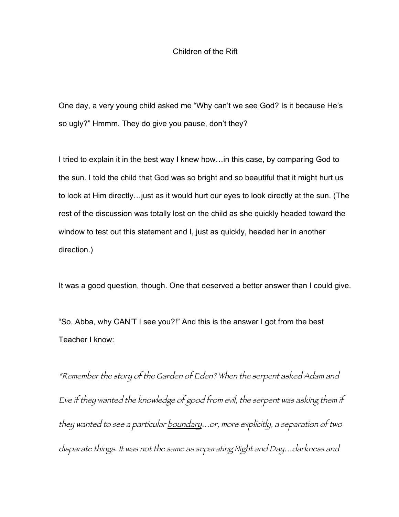## Children of the Rift

One day, a very young child asked me "Why can't we see God? Is it because He's so ugly?" Hmmm. They do give you pause, don't they?

I tried to explain it in the best way I knew how…in this case, by comparing God to the sun. I told the child that God was so bright and so beautiful that it might hurt us to look at Him directly…just as it would hurt our eyes to look directly at the sun. (The rest of the discussion was totally lost on the child as she quickly headed toward the window to test out this statement and I, just as quickly, headed her in another direction.)

It was a good question, though. One that deserved a better answer than I could give.

"So, Abba, why CAN'T I see you?!" And this is the answer I got from the best Teacher I know:

"Remember the story of the Garden of Eden? When the serpent asked Adam and Eve if they wanted the knowledge of good from evil, the serpent was asking them if they wanted to see a particular boundary...or, more explicitly, a separation of two disparate things. It was not the same as separating Night and Day…darkness and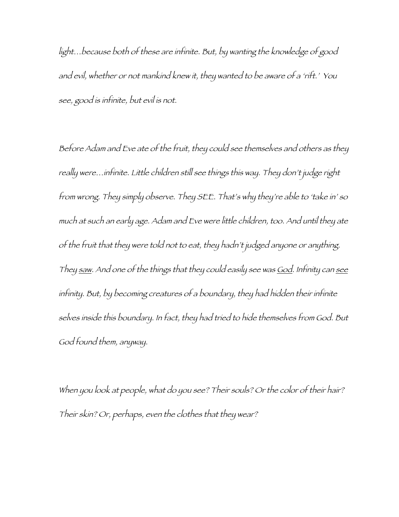light…because both of these are infinite. But, by wanting the knowledge of good and evil, whether or not mankind knew it, they wanted to be aware of a 'rift.' You see, good is infinite, but evil is not.

Before Adam and Eve ate of the fruit, they could see themselves and others as they really were…infinite. Little children still see things this way. They don't judge right from wrong. They simply observe. They SEE. That's why they're able to 'take in' so much at such an early age. Adam and Eve were little children, too. And until they ate of the fruit that they were told not to eat, they hadn't judged anyone or anything. They saw. And one of the things that they could easily see was God. Infinity can see infinity. But, by becoming creatures of a boundary, they had hidden their infinite selves inside this boundary. In fact, they had tried to hide themselves from God. But God found them, anyway.

When you look at people, what do you see? Their souls? Or the color of their hair? Their skin? Or, perhaps, even the clothes that they wear?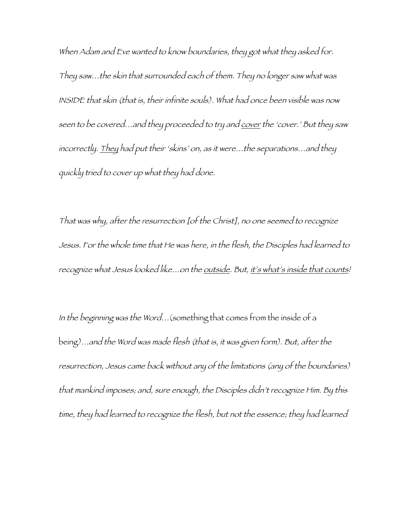When Adam and Eve wanted to know boundaries, they got what they asked for. They saw…the skin that surrounded each of them. They no longer saw what was INSIDE that skin (that is, their infinite souls). What had once been visible was now seen to be covered...and they proceeded to try and cover the 'cover.' But they saw incorrectly. They had put their 'skins' on, as it were…the separations…and they quickly tried to cover up what they had done.

That was why, after the resurrection [of the Christ], no one seemed to recognize Jesus. For the whole time that He was here, in the flesh, the Disciples had learned to recognize what Jesus looked like...on the outside. But, it's what's inside that counts!

In the beginning was the Word…(something that comes from the inside of a being)…and the Word was made flesh (that is, it was given form). But, after the resurrection, Jesus came back without any of the limitations (any of the boundaries) that mankind imposes; and, sure enough, the Disciples didn't recognize Him. By this time, they had learned to recognize the flesh, but not the essence; they had learned